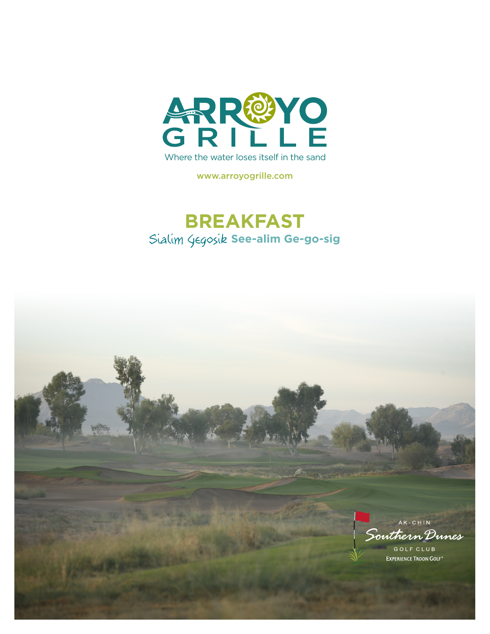

www.arroyogrille.com

## **BREAKFAST** Sialim Gegosik See-alim Ge-go-sig